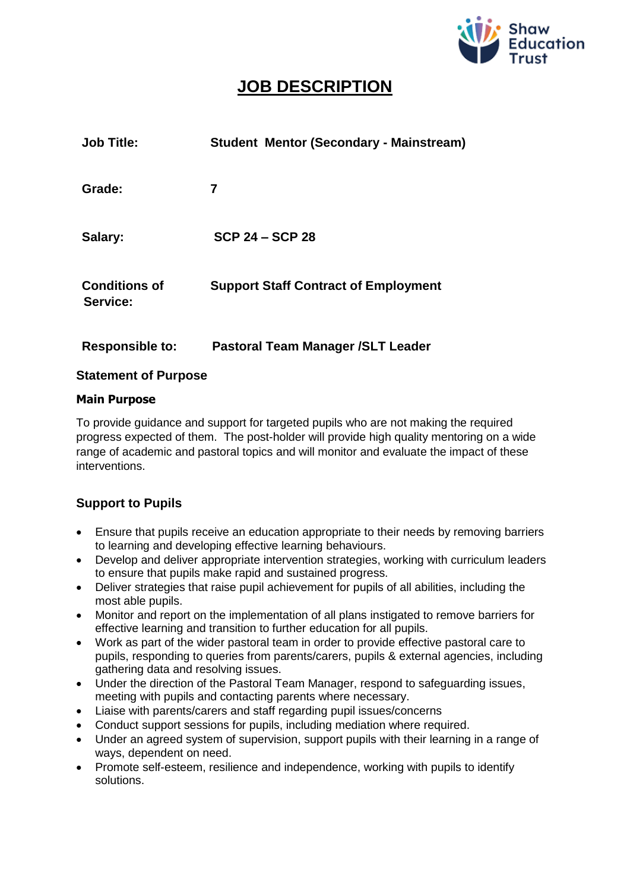

# **JOB DESCRIPTION**

| <b>Job Title:</b>                | <b>Student Mentor (Secondary - Mainstream)</b> |
|----------------------------------|------------------------------------------------|
| Grade:                           | 7                                              |
| Salary:                          | <b>SCP 24 – SCP 28</b>                         |
| <b>Conditions of</b><br>Service: | <b>Support Staff Contract of Employment</b>    |
| <b>Responsible to:</b>           | Pastoral Team Manager / SLT Leader             |

### **Statement of Purpose**

#### **Main Purpose**

To provide guidance and support for targeted pupils who are not making the required progress expected of them. The post-holder will provide high quality mentoring on a wide range of academic and pastoral topics and will monitor and evaluate the impact of these interventions.

# **Support to Pupils**

- Ensure that pupils receive an education appropriate to their needs by removing barriers to learning and developing effective learning behaviours.
- Develop and deliver appropriate intervention strategies, working with curriculum leaders to ensure that pupils make rapid and sustained progress.
- Deliver strategies that raise pupil achievement for pupils of all abilities, including the most able pupils.
- Monitor and report on the implementation of all plans instigated to remove barriers for effective learning and transition to further education for all pupils.
- Work as part of the wider pastoral team in order to provide effective pastoral care to pupils, responding to queries from parents/carers, pupils & external agencies, including gathering data and resolving issues.
- Under the direction of the Pastoral Team Manager, respond to safeguarding issues, meeting with pupils and contacting parents where necessary.
- Liaise with parents/carers and staff regarding pupil issues/concerns
- Conduct support sessions for pupils, including mediation where required.
- Under an agreed system of supervision, support pupils with their learning in a range of ways, dependent on need.
- Promote self-esteem, resilience and independence, working with pupils to identify solutions.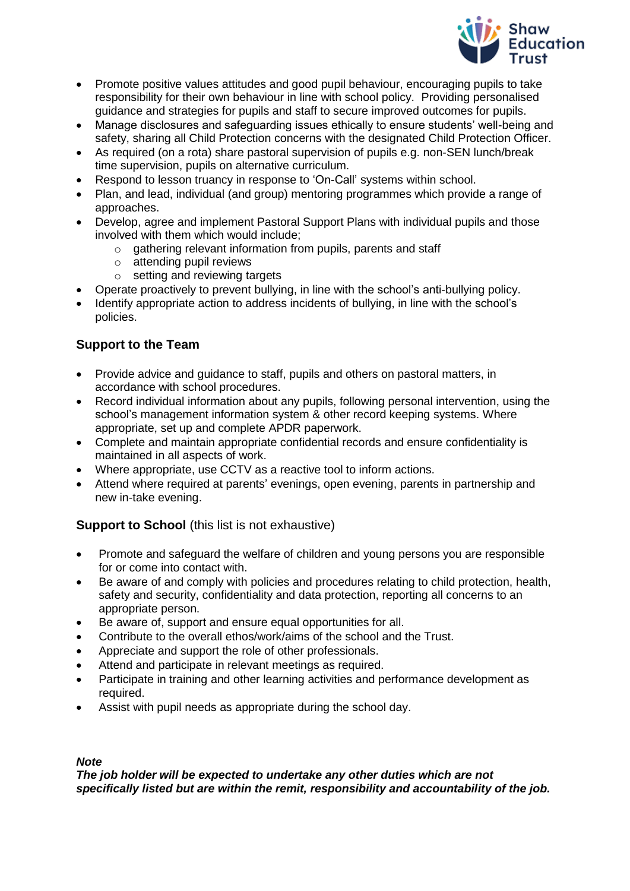

- Promote positive values attitudes and good pupil behaviour, encouraging pupils to take responsibility for their own behaviour in line with school policy. Providing personalised guidance and strategies for pupils and staff to secure improved outcomes for pupils.
- Manage disclosures and safeguarding issues ethically to ensure students' well-being and safety, sharing all Child Protection concerns with the designated Child Protection Officer.
- As required (on a rota) share pastoral supervision of pupils e.g. non-SEN lunch/break time supervision, pupils on alternative curriculum.
- Respond to lesson truancy in response to 'On-Call' systems within school.
- Plan, and lead, individual (and group) mentoring programmes which provide a range of approaches.
- Develop, agree and implement Pastoral Support Plans with individual pupils and those involved with them which would include;
	- o gathering relevant information from pupils, parents and staff
	- o attending pupil reviews
	- o setting and reviewing targets
- Operate proactively to prevent bullying, in line with the school's anti-bullying policy.
- Identify appropriate action to address incidents of bullying, in line with the school's policies.

# **Support to the Team**

- Provide advice and guidance to staff, pupils and others on pastoral matters, in accordance with school procedures.
- Record individual information about any pupils, following personal intervention, using the school's management information system & other record keeping systems. Where appropriate, set up and complete APDR paperwork.
- Complete and maintain appropriate confidential records and ensure confidentiality is maintained in all aspects of work.
- Where appropriate, use CCTV as a reactive tool to inform actions.
- Attend where required at parents' evenings, open evening, parents in partnership and new in-take evening.

### **Support to School** (this list is not exhaustive)

- Promote and safeguard the welfare of children and young persons you are responsible for or come into contact with.
- Be aware of and comply with policies and procedures relating to child protection, health, safety and security, confidentiality and data protection, reporting all concerns to an appropriate person.
- Be aware of, support and ensure equal opportunities for all.
- Contribute to the overall ethos/work/aims of the school and the Trust.
- Appreciate and support the role of other professionals.
- Attend and participate in relevant meetings as required.
- Participate in training and other learning activities and performance development as required.
- Assist with pupil needs as appropriate during the school day.

#### *Note*

*The job holder will be expected to undertake any other duties which are not specifically listed but are within the remit, responsibility and accountability of the job.*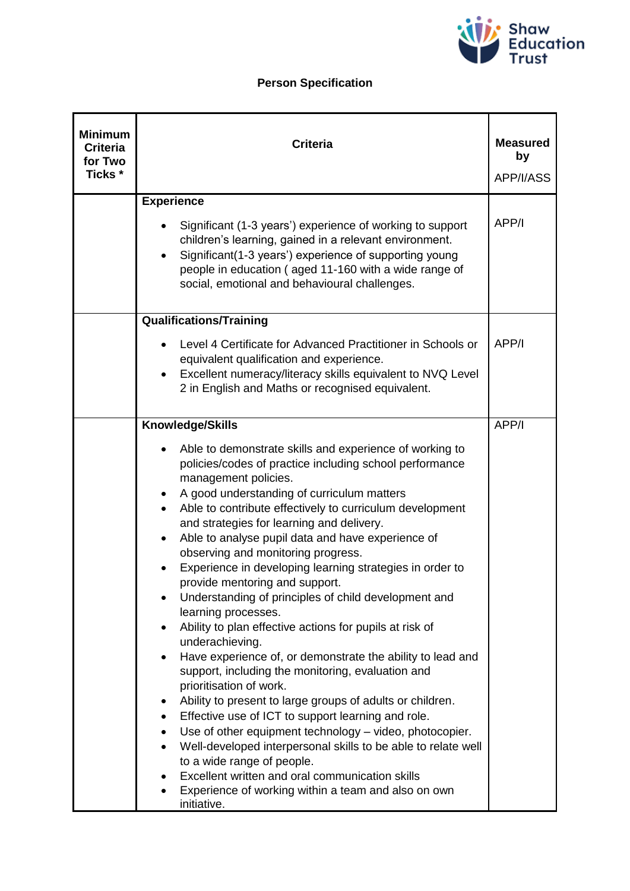

# **Person Specification**

| <b>Minimum</b><br><b>Criteria</b><br>for Two<br>Ticks * | <b>Criteria</b>                                                                                                                                                                                                                                                                                                                                                                                                                                                                                                                                                                                                                                                                                                                                                                                                                                                                                                                                                                                                                                                                                                                                                                                                                                                                                              | <b>Measured</b><br>by<br>APP/I/ASS |
|---------------------------------------------------------|--------------------------------------------------------------------------------------------------------------------------------------------------------------------------------------------------------------------------------------------------------------------------------------------------------------------------------------------------------------------------------------------------------------------------------------------------------------------------------------------------------------------------------------------------------------------------------------------------------------------------------------------------------------------------------------------------------------------------------------------------------------------------------------------------------------------------------------------------------------------------------------------------------------------------------------------------------------------------------------------------------------------------------------------------------------------------------------------------------------------------------------------------------------------------------------------------------------------------------------------------------------------------------------------------------------|------------------------------------|
|                                                         | <b>Experience</b><br>Significant (1-3 years') experience of working to support<br>children's learning, gained in a relevant environment.<br>Significant(1-3 years') experience of supporting young<br>$\bullet$<br>people in education (aged 11-160 with a wide range of<br>social, emotional and behavioural challenges.                                                                                                                                                                                                                                                                                                                                                                                                                                                                                                                                                                                                                                                                                                                                                                                                                                                                                                                                                                                    | APP/I                              |
|                                                         | <b>Qualifications/Training</b><br>Level 4 Certificate for Advanced Practitioner in Schools or<br>equivalent qualification and experience.<br>Excellent numeracy/literacy skills equivalent to NVQ Level<br>$\bullet$<br>2 in English and Maths or recognised equivalent.                                                                                                                                                                                                                                                                                                                                                                                                                                                                                                                                                                                                                                                                                                                                                                                                                                                                                                                                                                                                                                     | APP/I                              |
|                                                         | Knowledge/Skills<br>Able to demonstrate skills and experience of working to<br>policies/codes of practice including school performance<br>management policies.<br>A good understanding of curriculum matters<br>٠<br>Able to contribute effectively to curriculum development<br>$\bullet$<br>and strategies for learning and delivery.<br>Able to analyse pupil data and have experience of<br>$\bullet$<br>observing and monitoring progress.<br>Experience in developing learning strategies in order to<br>provide mentoring and support.<br>Understanding of principles of child development and<br>learning processes.<br>Ability to plan effective actions for pupils at risk of<br>٠<br>underachieving.<br>Have experience of, or demonstrate the ability to lead and<br>support, including the monitoring, evaluation and<br>prioritisation of work.<br>Ability to present to large groups of adults or children.<br>٠<br>Effective use of ICT to support learning and role.<br>٠<br>Use of other equipment technology - video, photocopier.<br>$\bullet$<br>Well-developed interpersonal skills to be able to relate well<br>to a wide range of people.<br>Excellent written and oral communication skills<br>$\bullet$<br>Experience of working within a team and also on own<br>٠<br>initiative. | APP/I                              |